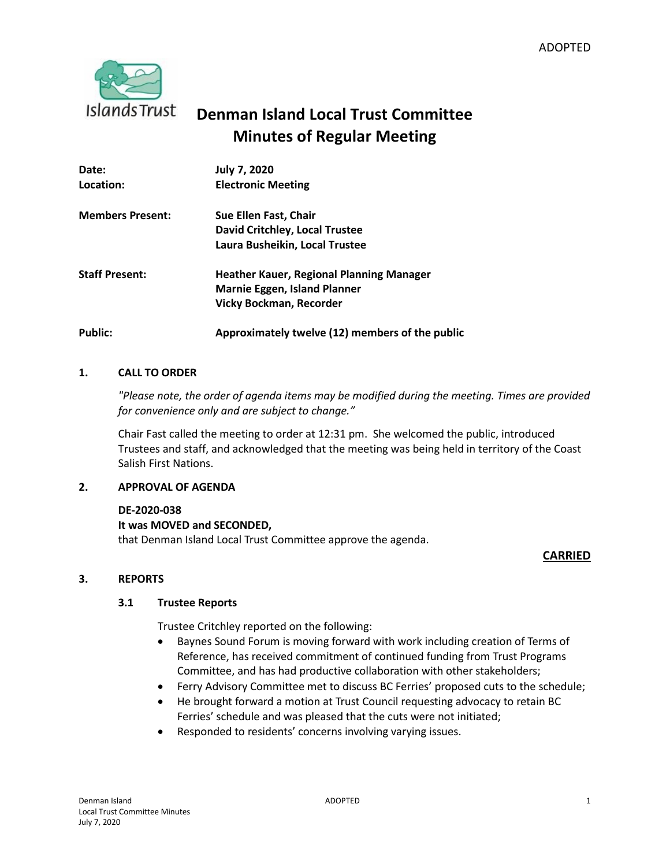

# **Denman Island Local Trust Committee Minutes of Regular Meeting**

| Date:                   | <b>July 7, 2020</b>                             |
|-------------------------|-------------------------------------------------|
| Location:               | <b>Electronic Meeting</b>                       |
| <b>Members Present:</b> | Sue Ellen Fast, Chair                           |
|                         | David Critchley, Local Trustee                  |
|                         | Laura Busheikin, Local Trustee                  |
| <b>Staff Present:</b>   | <b>Heather Kauer, Regional Planning Manager</b> |
|                         | <b>Marnie Eggen, Island Planner</b>             |
|                         | <b>Vicky Bockman, Recorder</b>                  |
| <b>Public:</b>          | Approximately twelve (12) members of the public |

# **1. CALL TO ORDER**

*"Please note, the order of agenda items may be modified during the meeting. Times are provided for convenience only and are subject to change."*

Chair Fast called the meeting to order at 12:31 pm. She welcomed the public, introduced Trustees and staff, and acknowledged that the meeting was being held in territory of the Coast Salish First Nations.

# **2. APPROVAL OF AGENDA**

# **DE-2020-038**

# **It was MOVED and SECONDED,**

that Denman Island Local Trust Committee approve the agenda.

# **CARRIED**

# **3. REPORTS**

# **3.1 Trustee Reports**

Trustee Critchley reported on the following:

- Baynes Sound Forum is moving forward with work including creation of Terms of Reference, has received commitment of continued funding from Trust Programs Committee, and has had productive collaboration with other stakeholders;
- Ferry Advisory Committee met to discuss BC Ferries' proposed cuts to the schedule;
- He brought forward a motion at Trust Council requesting advocacy to retain BC Ferries' schedule and was pleased that the cuts were not initiated;
- Responded to residents' concerns involving varying issues.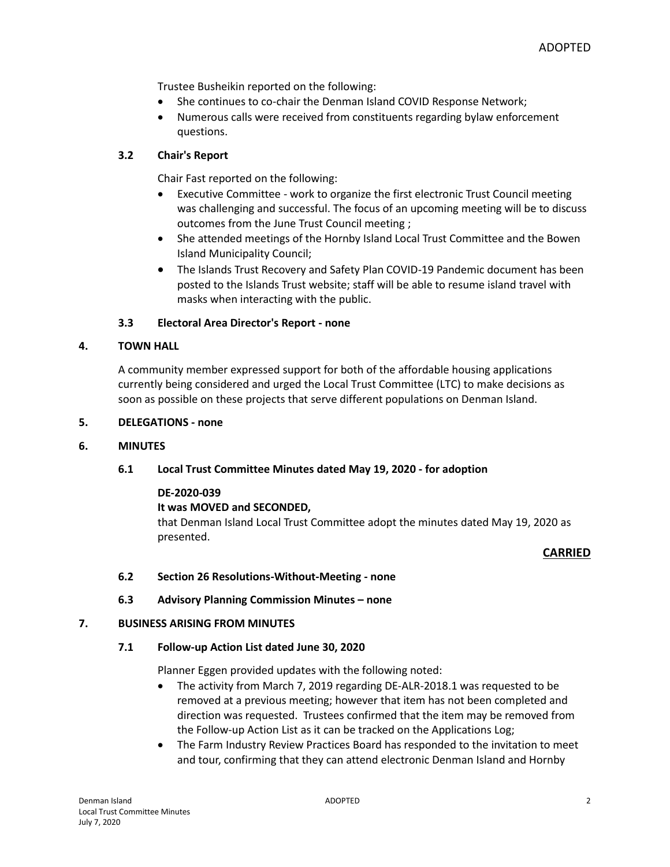Trustee Busheikin reported on the following:

- She continues to co-chair the Denman Island COVID Response Network;
- Numerous calls were received from constituents regarding bylaw enforcement questions.

# **3.2 Chair's Report**

Chair Fast reported on the following:

- Executive Committee work to organize the first electronic Trust Council meeting was challenging and successful. The focus of an upcoming meeting will be to discuss outcomes from the June Trust Council meeting ;
- She attended meetings of the Hornby Island Local Trust Committee and the Bowen Island Municipality Council;
- The Islands Trust Recovery and Safety Plan COVID-19 Pandemic document has been posted to the Islands Trust website; staff will be able to resume island travel with masks when interacting with the public.

# **3.3 Electoral Area Director's Report - none**

# **4. TOWN HALL**

A community member expressed support for both of the affordable housing applications currently being considered and urged the Local Trust Committee (LTC) to make decisions as soon as possible on these projects that serve different populations on Denman Island.

# **5. DELEGATIONS - none**

# **6. MINUTES**

# **6.1 Local Trust Committee Minutes dated May 19, 2020 - for adoption**

# **DE-2020-039**

# **It was MOVED and SECONDED,**

that Denman Island Local Trust Committee adopt the minutes dated May 19, 2020 as presented.

# **CARRIED**

# **6.2 Section 26 Resolutions-Without-Meeting - none**

**6.3 Advisory Planning Commission Minutes – none**

# **7. BUSINESS ARISING FROM MINUTES**

# **7.1 Follow-up Action List dated June 30, 2020**

Planner Eggen provided updates with the following noted:

- The activity from March 7, 2019 regarding DE-ALR-2018.1 was requested to be removed at a previous meeting; however that item has not been completed and direction was requested. Trustees confirmed that the item may be removed from the Follow-up Action List as it can be tracked on the Applications Log;
- The Farm Industry Review Practices Board has responded to the invitation to meet and tour, confirming that they can attend electronic Denman Island and Hornby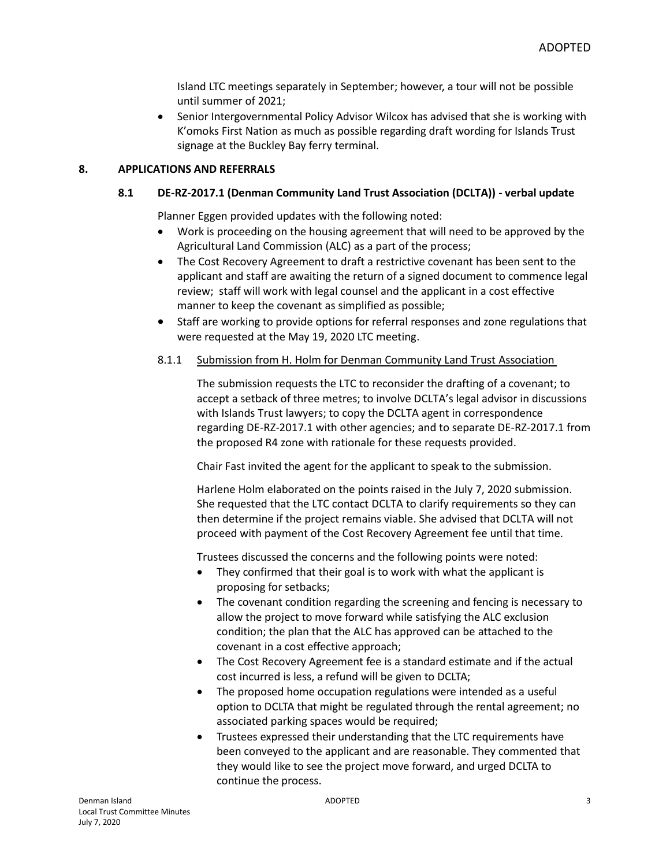Island LTC meetings separately in September; however, a tour will not be possible until summer of 2021;

 Senior Intergovernmental Policy Advisor Wilcox has advised that she is working with K'omoks First Nation as much as possible regarding draft wording for Islands Trust signage at the Buckley Bay ferry terminal.

# **8. APPLICATIONS AND REFERRALS**

#### **8.1 DE-RZ-2017.1 (Denman Community Land Trust Association (DCLTA)) - verbal update**

Planner Eggen provided updates with the following noted:

- Work is proceeding on the housing agreement that will need to be approved by the Agricultural Land Commission (ALC) as a part of the process;
- The Cost Recovery Agreement to draft a restrictive covenant has been sent to the applicant and staff are awaiting the return of a signed document to commence legal review; staff will work with legal counsel and the applicant in a cost effective manner to keep the covenant as simplified as possible;
- Staff are working to provide options for referral responses and zone regulations that were requested at the May 19, 2020 LTC meeting.
- 8.1.1 Submission from H. Holm for Denman Community Land Trust Association

The submission requests the LTC to reconsider the drafting of a covenant; to accept a setback of three metres; to involve DCLTA's legal advisor in discussions with Islands Trust lawyers; to copy the DCLTA agent in correspondence regarding DE-RZ-2017.1 with other agencies; and to separate DE-RZ-2017.1 from the proposed R4 zone with rationale for these requests provided.

Chair Fast invited the agent for the applicant to speak to the submission.

Harlene Holm elaborated on the points raised in the July 7, 2020 submission. She requested that the LTC contact DCLTA to clarify requirements so they can then determine if the project remains viable. She advised that DCLTA will not proceed with payment of the Cost Recovery Agreement fee until that time.

Trustees discussed the concerns and the following points were noted:

- They confirmed that their goal is to work with what the applicant is proposing for setbacks;
- The covenant condition regarding the screening and fencing is necessary to allow the project to move forward while satisfying the ALC exclusion condition; the plan that the ALC has approved can be attached to the covenant in a cost effective approach;
- The Cost Recovery Agreement fee is a standard estimate and if the actual cost incurred is less, a refund will be given to DCLTA;
- The proposed home occupation regulations were intended as a useful option to DCLTA that might be regulated through the rental agreement; no associated parking spaces would be required;
- Trustees expressed their understanding that the LTC requirements have been conveyed to the applicant and are reasonable. They commented that they would like to see the project move forward, and urged DCLTA to continue the process.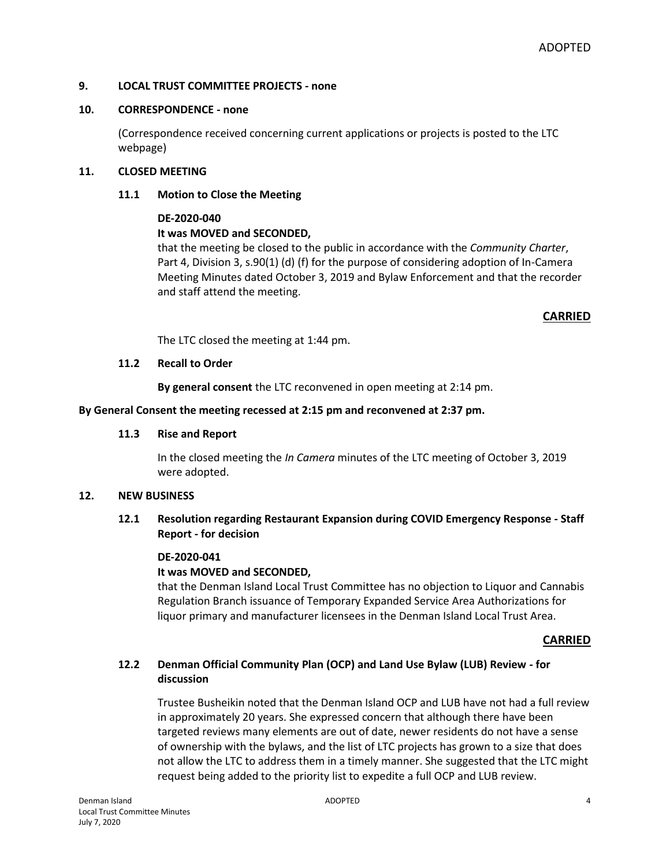# **9. LOCAL TRUST COMMITTEE PROJECTS - none**

#### **10. CORRESPONDENCE - none**

(Correspondence received concerning current applications or projects is posted to the LTC webpage)

#### **11. CLOSED MEETING**

# **11.1 Motion to Close the Meeting**

#### **DE-2020-040**

# **It was MOVED and SECONDED,**

that the meeting be closed to the public in accordance with the *Community Charter*, Part 4, Division 3, s.90(1) (d) (f) for the purpose of considering adoption of In-Camera Meeting Minutes dated October 3, 2019 and Bylaw Enforcement and that the recorder and staff attend the meeting.

# **CARRIED**

The LTC closed the meeting at 1:44 pm.

# **11.2 Recall to Order**

**By general consent** the LTC reconvened in open meeting at 2:14 pm.

**By General Consent the meeting recessed at 2:15 pm and reconvened at 2:37 pm.**

#### **11.3 Rise and Report**

In the closed meeting the *In Camera* minutes of the LTC meeting of October 3, 2019 were adopted.

# **12. NEW BUSINESS**

# **12.1 Resolution regarding Restaurant Expansion during COVID Emergency Response - Staff Report - for decision**

#### **DE-2020-041**

# **It was MOVED and SECONDED,**

that the Denman Island Local Trust Committee has no objection to Liquor and Cannabis Regulation Branch issuance of Temporary Expanded Service Area Authorizations for liquor primary and manufacturer licensees in the Denman Island Local Trust Area.

#### **CARRIED**

# **12.2 Denman Official Community Plan (OCP) and Land Use Bylaw (LUB) Review - for discussion**

Trustee Busheikin noted that the Denman Island OCP and LUB have not had a full review in approximately 20 years. She expressed concern that although there have been targeted reviews many elements are out of date, newer residents do not have a sense of ownership with the bylaws, and the list of LTC projects has grown to a size that does not allow the LTC to address them in a timely manner. She suggested that the LTC might request being added to the priority list to expedite a full OCP and LUB review.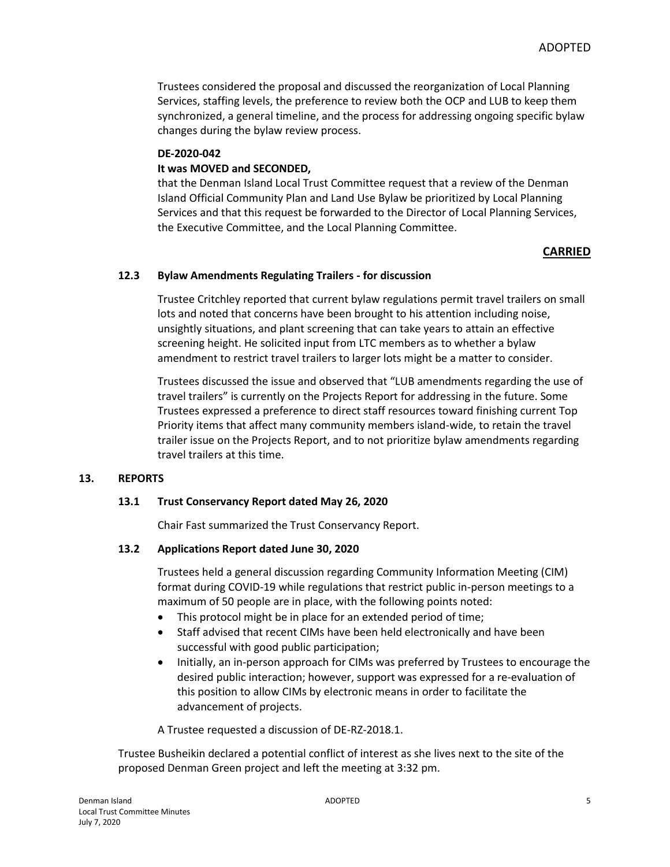Trustees considered the proposal and discussed the reorganization of Local Planning Services, staffing levels, the preference to review both the OCP and LUB to keep them synchronized, a general timeline, and the process for addressing ongoing specific bylaw changes during the bylaw review process.

#### **DE-2020-042**

# **It was MOVED and SECONDED,**

that the Denman Island Local Trust Committee request that a review of the Denman Island Official Community Plan and Land Use Bylaw be prioritized by Local Planning Services and that this request be forwarded to the Director of Local Planning Services, the Executive Committee, and the Local Planning Committee.

# **CARRIED**

# **12.3 Bylaw Amendments Regulating Trailers - for discussion**

Trustee Critchley reported that current bylaw regulations permit travel trailers on small lots and noted that concerns have been brought to his attention including noise, unsightly situations, and plant screening that can take years to attain an effective screening height. He solicited input from LTC members as to whether a bylaw amendment to restrict travel trailers to larger lots might be a matter to consider.

Trustees discussed the issue and observed that "LUB amendments regarding the use of travel trailers" is currently on the Projects Report for addressing in the future. Some Trustees expressed a preference to direct staff resources toward finishing current Top Priority items that affect many community members island-wide, to retain the travel trailer issue on the Projects Report, and to not prioritize bylaw amendments regarding travel trailers at this time.

# **13. REPORTS**

#### **13.1 Trust Conservancy Report dated May 26, 2020**

Chair Fast summarized the Trust Conservancy Report.

# **13.2 Applications Report dated June 30, 2020**

Trustees held a general discussion regarding Community Information Meeting (CIM) format during COVID-19 while regulations that restrict public in-person meetings to a maximum of 50 people are in place, with the following points noted:

- This protocol might be in place for an extended period of time;
- Staff advised that recent CIMs have been held electronically and have been successful with good public participation;
- Initially, an in-person approach for CIMs was preferred by Trustees to encourage the desired public interaction; however, support was expressed for a re-evaluation of this position to allow CIMs by electronic means in order to facilitate the advancement of projects.

A Trustee requested a discussion of DE-RZ-2018.1.

Trustee Busheikin declared a potential conflict of interest as she lives next to the site of the proposed Denman Green project and left the meeting at 3:32 pm.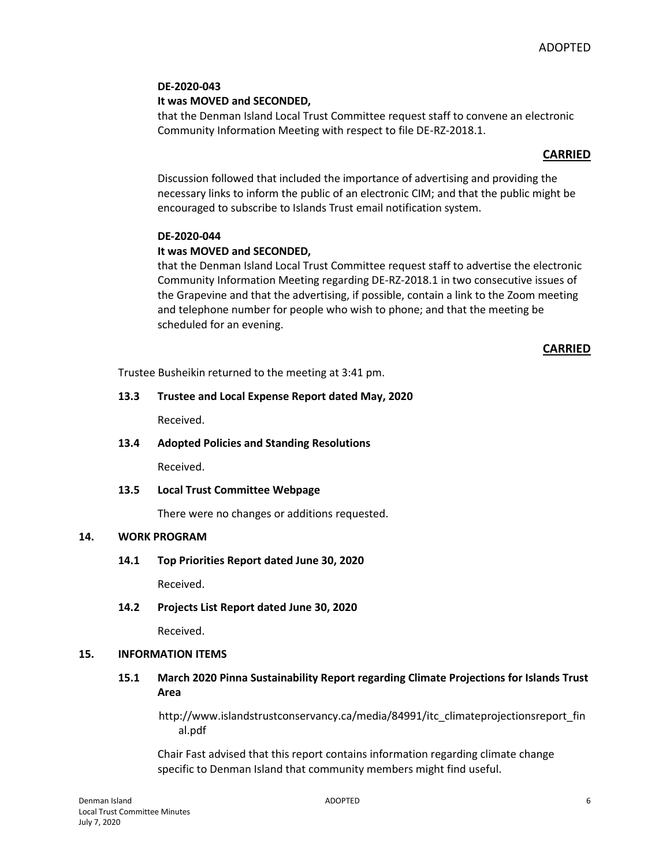# **DE-2020-043 It was MOVED and SECONDED,**

that the Denman Island Local Trust Committee request staff to convene an electronic Community Information Meeting with respect to file DE-RZ-2018.1.

# **CARRIED**

Discussion followed that included the importance of advertising and providing the necessary links to inform the public of an electronic CIM; and that the public might be encouraged to subscribe to Islands Trust email notification system.

# **DE-2020-044**

# **It was MOVED and SECONDED,**

that the Denman Island Local Trust Committee request staff to advertise the electronic Community Information Meeting regarding DE-RZ-2018.1 in two consecutive issues of the Grapevine and that the advertising, if possible, contain a link to the Zoom meeting and telephone number for people who wish to phone; and that the meeting be scheduled for an evening.

# **CARRIED**

Trustee Busheikin returned to the meeting at 3:41 pm.

# **13.3 Trustee and Local Expense Report dated May, 2020**

Received.

**13.4 Adopted Policies and Standing Resolutions**

Received.

**13.5 Local Trust Committee Webpage**

There were no changes or additions requested.

# **14. WORK PROGRAM**

**14.1 Top Priorities Report dated June 30, 2020**

Received.

**14.2 Projects List Report dated June 30, 2020**

Received.

# **15. INFORMATION ITEMS**

# **15.1 March 2020 Pinna Sustainability Report regarding Climate Projections for Islands Trust Area**

http://www.islandstrustconservancy.ca/media/84991/itc\_climateprojectionsreport\_fin al.pdf

Chair Fast advised that this report contains information regarding climate change specific to Denman Island that community members might find useful.